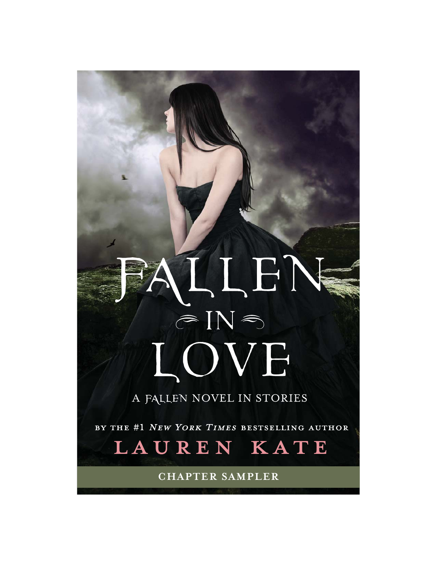# LLEN  $\circledcirc$  IN  $\circledcirc$ LOVE

A FALLEN NOVEL IN STORIES

BY THE #1 NEW YORK TIMES BESTSELLING AUTHOR



**CHAPTER SAMPLER**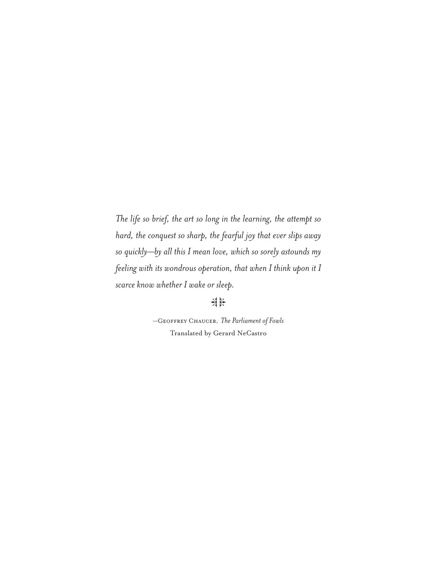*The life so brief, the art so long in the learning, the attempt so hard, the conquest so sharp, the fearful joy that ever slips away so quickly—by all this I mean love, which so sorely astounds my feeling with its wondrous operation, that when I think upon it I scarce know whether I wake or sleep.*

## .<br>세<br><del>세</del>

—Geoffrey Chaucer, *The Parliament of Fowls* Translated by Gerard NeCastro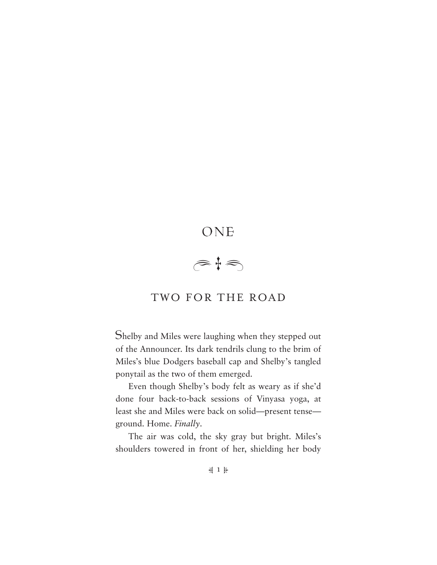## ONE  $\begin{array}{c} \circ \mathcal{L} \\ \circ \mathcal{L} \end{array}$

### TWO FOR THE ROAD

Shelby and Miles were laughing when they stepped out of the Announcer. Its dark tendrils clung to the brim of Miles's blue Dodgers baseball cap and Shelby's tangled ponytail as the two of them emerged.

Even though Shelby's body felt as weary as if she'd done four back-to-back sessions of Vinyasa yoga, at least she and Miles were back on solid—present tense ground. Home. *Finally*.

The air was cold, the sky gray but bright. Miles's shoulders towered in front of her, shielding her body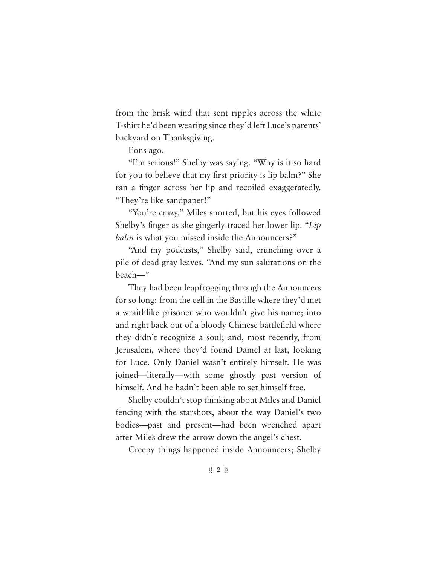from the brisk wind that sent ripples across the white T-shirt he'd been wearing since they'd left Luce's parents' backyard on Thanksgiving.

Eons ago.

"I'm serious!" Shelby was saying. "Why is it so hard for you to believe that my first priority is lip balm?" She ran a finger across her lip and recoiled exaggeratedly. "They're like sandpaper!"

"You're crazy." Miles snorted, but his eyes followed Shelby's finger as she gingerly traced her lower lip. "*Lip balm* is what you missed inside the Announcers?"

"And my podcasts," Shelby said, crunching over a pile of dead gray leaves. "And my sun salutations on the beach—"

They had been leapfrogging through the Announcers for so long: from the cell in the Bastille where they'd met a wraithlike prisoner who wouldn't give his name; into and right back out of a bloody Chinese battlefield where they didn't recognize a soul; and, most recently, from Jerusalem, where they'd found Daniel at last, looking for Luce. Only Daniel wasn't entirely himself. He was joined—literally—with some ghostly past version of himself. And he hadn't been able to set himself free.

Shelby couldn't stop thinking about Miles and Daniel fencing with the starshots, about the way Daniel's two bodies—past and present—had been wrenched apart after Miles drew the arrow down the angel's chest.

Creepy things happened inside Announcers; Shelby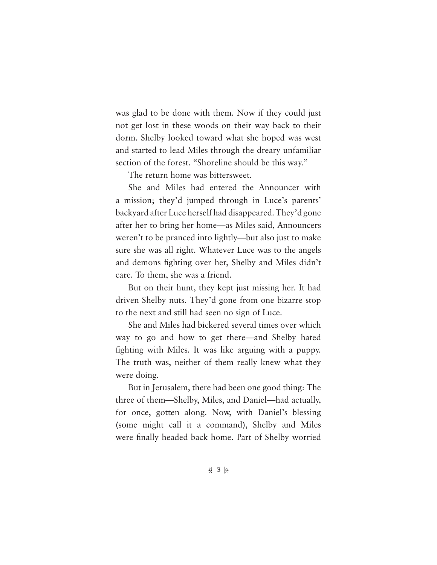was glad to be done with them. Now if they could just not get lost in these woods on their way back to their dorm. Shelby looked toward what she hoped was west and started to lead Miles through the dreary unfamiliar section of the forest. "Shoreline should be this way."

The return home was bittersweet.

She and Miles had entered the Announcer with a mission; they'd jumped through in Luce's parents' backyard after Luce herself had disappeared. They'd gone after her to bring her home—as Miles said, Announcers weren't to be pranced into lightly—but also just to make sure she was all right. Whatever Luce was to the angels and demons fighting over her, Shelby and Miles didn't care. To them, she was a friend.

But on their hunt, they kept just missing her. It had driven Shelby nuts. They'd gone from one bizarre stop to the next and still had seen no sign of Luce.

She and Miles had bickered several times over which way to go and how to get there—and Shelby hated fighting with Miles. It was like arguing with a puppy. The truth was, neither of them really knew what they were doing.

But in Jerusalem, there had been one good thing: The three of them—Shelby, Miles, and Daniel—had actually, for once, gotten along. Now, with Daniel's blessing (some might call it a command), Shelby and Miles were finally headed back home. Part of Shelby worried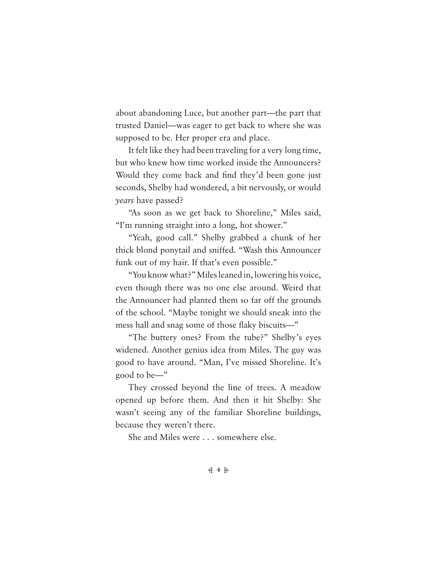about abandoning Luce, but another part—the part that trusted Daniel—was eager to get back to where she was supposed to be. Her proper era and place.

It felt like they had been traveling for a very long time, but who knew how time worked inside the Announcers? Would they come back and find they'd been gone just seconds, Shelby had wondered, a bit nervously, or would *years* have passed?

"As soon as we get back to Shoreline," Miles said, "I'm running straight into a long, hot shower."

"Yeah, good call." Shelby grabbed a chunk of her thick blond ponytail and sniffed. "Wash this Announcer funk out of my hair. If that's even possible."

"You know what?" Miles leaned in, lowering his voice, even though there was no one else around. Weird that the Announcer had planted them so far off the grounds of the school. "Maybe tonight we should sneak into the mess hall and snag some of those flaky biscuits—"

"The buttery ones? From the tube?" Shelby's eyes widened. Another genius idea from Miles. The guy was good to have around. "Man, I've missed Shoreline. It's good to be—"

They crossed beyond the line of trees. A meadow opened up before them. And then it hit Shelby: She wasn't seeing any of the familiar Shoreline buildings, because they weren't there.

She and Miles were . . . somewhere else.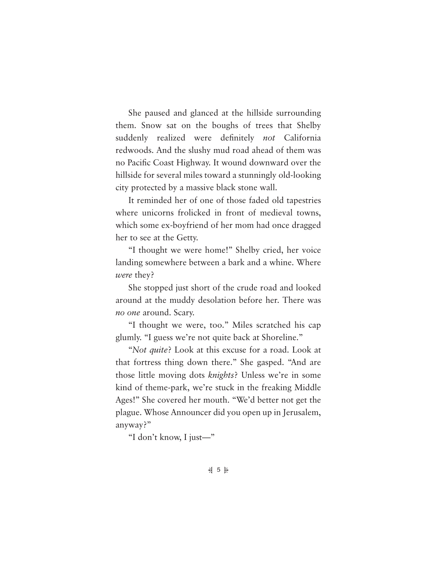She paused and glanced at the hillside surrounding them. Snow sat on the boughs of trees that Shelby suddenly realized were definitely *not* California redwoods. And the slushy mud road ahead of them was no Pacific Coast Highway. It wound downward over the hillside for several miles toward a stunningly old-looking city protected by a massive black stone wall.

It reminded her of one of those faded old tapestries where unicorns frolicked in front of medieval towns, which some ex-boyfriend of her mom had once dragged her to see at the Getty.

"I thought we were home!" Shelby cried, her voice landing somewhere between a bark and a whine. Where *were* they?

She stopped just short of the crude road and looked around at the muddy desolation before her. There was *no one* around. Scary.

"I thought we were, too." Miles scratched his cap glumly. "I guess we're not quite back at Shoreline."

"*Not quite*? Look at this excuse for a road. Look at that fortress thing down there." She gasped. "And are those little moving dots *knights*? Unless we're in some kind of theme-park, we're stuck in the freaking Middle Ages!" She covered her mouth. "We'd better not get the plague. Whose Announcer did you open up in Jerusalem, anyway?"

"I don't know, I just—"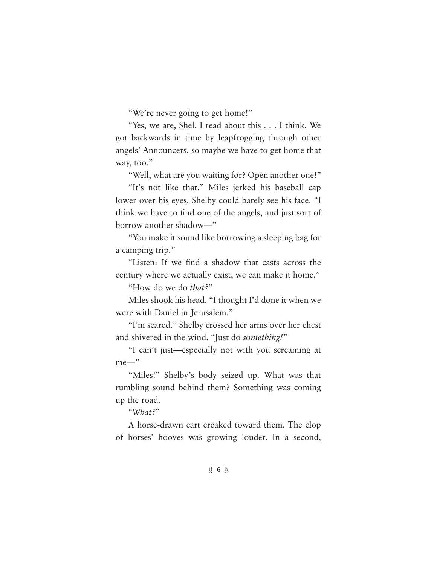"We're never going to get home!"

"Yes, we are, Shel. I read about this . . . I think. We got backwards in time by leapfrogging through other angels' Announcers, so maybe we have to get home that way, too."

"Well, what are you waiting for? Open another one!"

"It's not like that." Miles jerked his baseball cap lower over his eyes. Shelby could barely see his face. "I think we have to find one of the angels, and just sort of borrow another shadow—"

"You make it sound like borrowing a sleeping bag for a camping trip."

"Listen: If we find a shadow that casts across the century where we actually exist, we can make it home."

"How do we do *that?*"

Miles shook his head. "I thought I'd done it when we were with Daniel in Jerusalem."

"I'm scared." Shelby crossed her arms over her chest and shivered in the wind. "Just do *something!*"

"I can't just—especially not with you screaming at me—"

"Miles!" Shelby's body seized up. What was that rumbling sound behind them? Something was coming up the road.

"*What?*"

A horse-drawn cart creaked toward them. The clop of horses' hooves was growing louder. In a second,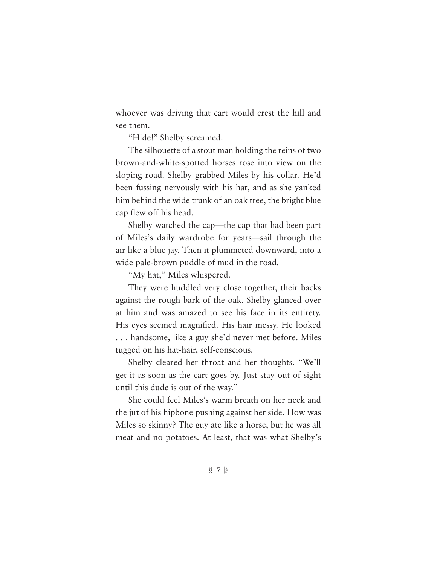whoever was driving that cart would crest the hill and see them.

"Hide!" Shelby screamed.

The silhouette of a stout man holding the reins of two brown-and-white-spotted horses rose into view on the sloping road. Shelby grabbed Miles by his collar. He'd been fussing nervously with his hat, and as she yanked him behind the wide trunk of an oak tree, the bright blue cap flew off his head.

Shelby watched the cap—the cap that had been part of Miles's daily wardrobe for years—sail through the air like a blue jay. Then it plummeted downward, into a wide pale-brown puddle of mud in the road.

"My hat," Miles whispered.

They were huddled very close together, their backs against the rough bark of the oak. Shelby glanced over at him and was amazed to see his face in its entirety. His eyes seemed magnified. His hair messy. He looked . . . handsome, like a guy she'd never met before. Miles tugged on his hat-hair, self-conscious.

Shelby cleared her throat and her thoughts. "We'll get it as soon as the cart goes by. Just stay out of sight until this dude is out of the way."

She could feel Miles's warm breath on her neck and the jut of his hipbone pushing against her side. How was Miles so skinny? The guy ate like a horse, but he was all meat and no potatoes. At least, that was what Shelby's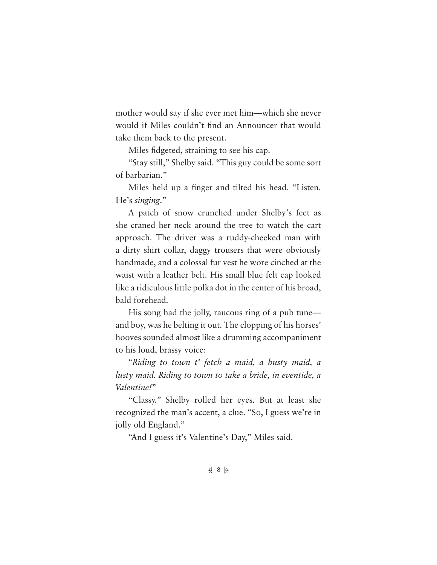mother would say if she ever met him—which she never would if Miles couldn't find an Announcer that would take them back to the present.

Miles fidgeted, straining to see his cap.

"Stay still," Shelby said. "This guy could be some sort of barbarian."

Miles held up a finger and tilted his head. "Listen. He's *singing*."

A patch of snow crunched under Shelby's feet as she craned her neck around the tree to watch the cart approach. The driver was a ruddy-cheeked man with a dirty shirt collar, daggy trousers that were obviously handmade, and a colossal fur vest he wore cinched at the waist with a leather belt. His small blue felt cap looked like a ridiculous little polka dot in the center of his broad, bald forehead.

His song had the jolly, raucous ring of a pub tune and boy, was he belting it out. The clopping of his horses' hooves sounded almost like a drumming accompaniment to his loud, brassy voice:

"*Riding to town t' fetch a maid, a busty maid, a lusty maid. Riding to town to take a bride, in eventide, a Valentine!*"

"Classy." Shelby rolled her eyes. But at least she recognized the man's accent, a clue. "So, I guess we're in jolly old England."

"And I guess it's Valentine's Day," Miles said.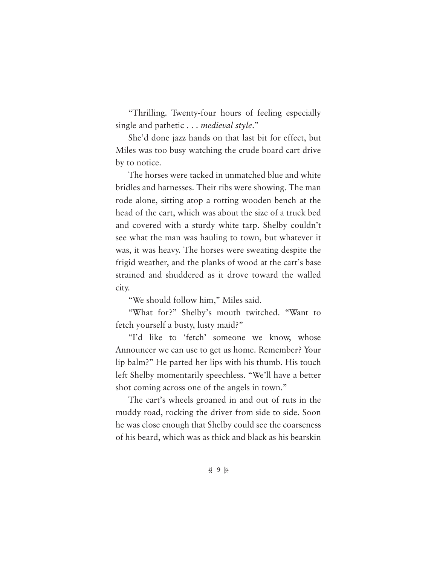"Thrilling. Twenty-four hours of feeling especially single and pathetic . . . *medieval style*."

She'd done jazz hands on that last bit for effect, but Miles was too busy watching the crude board cart drive by to notice.

The horses were tacked in unmatched blue and white bridles and harnesses. Their ribs were showing. The man rode alone, sitting atop a rotting wooden bench at the head of the cart, which was about the size of a truck bed and covered with a sturdy white tarp. Shelby couldn't see what the man was hauling to town, but whatever it was, it was heavy. The horses were sweating despite the frigid weather, and the planks of wood at the cart's base strained and shuddered as it drove toward the walled city.

"We should follow him," Miles said.

"What for?" Shelby's mouth twitched. "Want to fetch yourself a busty, lusty maid?"

"I'd like to 'fetch' someone we know, whose Announcer we can use to get us home. Remember? Your lip balm?" He parted her lips with his thumb. His touch left Shelby momentarily speechless. "We'll have a better shot coming across one of the angels in town."

The cart's wheels groaned in and out of ruts in the muddy road, rocking the driver from side to side. Soon he was close enough that Shelby could see the coarseness of his beard, which was as thick and black as his bearskin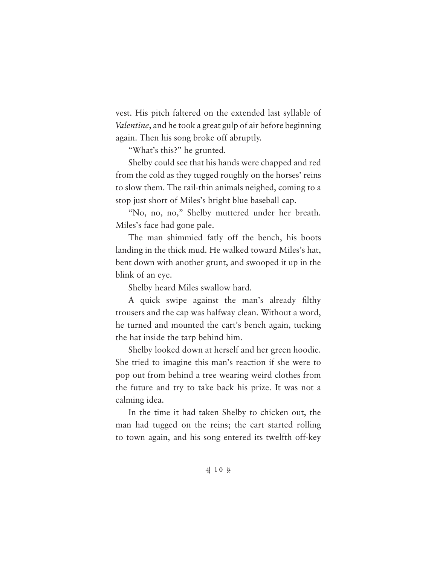vest. His pitch faltered on the extended last syllable of *Valentine*, and he took a great gulp of air before beginning again. Then his song broke off abruptly.

"What's this?" he grunted.

Shelby could see that his hands were chapped and red from the cold as they tugged roughly on the horses' reins to slow them. The rail-thin animals neighed, coming to a stop just short of Miles's bright blue baseball cap.

"No, no, no," Shelby muttered under her breath. Miles's face had gone pale.

The man shimmied fatly off the bench, his boots landing in the thick mud. He walked toward Miles's hat, bent down with another grunt, and swooped it up in the blink of an eye.

Shelby heard Miles swallow hard.

A quick swipe against the man's already filthy trousers and the cap was halfway clean. Without a word, he turned and mounted the cart's bench again, tucking the hat inside the tarp behind him.

Shelby looked down at herself and her green hoodie. She tried to imagine this man's reaction if she were to pop out from behind a tree wearing weird clothes from the future and try to take back his prize. It was not a calming idea.

In the time it had taken Shelby to chicken out, the man had tugged on the reins; the cart started rolling to town again, and his song entered its twelfth off-key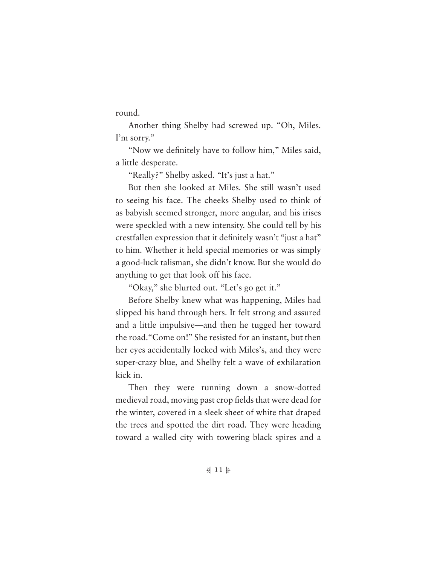round.

Another thing Shelby had screwed up. "Oh, Miles. I'm sorry."

"Now we definitely have to follow him," Miles said, a little desperate.

"Really?" Shelby asked. "It's just a hat."

But then she looked at Miles. She still wasn't used to seeing his face. The cheeks Shelby used to think of as babyish seemed stronger, more angular, and his irises were speckled with a new intensity. She could tell by his crestfallen expression that it definitely wasn't "just a hat" to him. Whether it held special memories or was simply a good-luck talisman, she didn't know. But she would do anything to get that look off his face.

"Okay," she blurted out. "Let's go get it."

Before Shelby knew what was happening, Miles had slipped his hand through hers. It felt strong and assured and a little impulsive—and then he tugged her toward the road."Come on!" She resisted for an instant, but then her eyes accidentally locked with Miles's, and they were super-crazy blue, and Shelby felt a wave of exhilaration kick in.

Then they were running down a snow-dotted medieval road, moving past crop fields that were dead for the winter, covered in a sleek sheet of white that draped the trees and spotted the dirt road. They were heading toward a walled city with towering black spires and a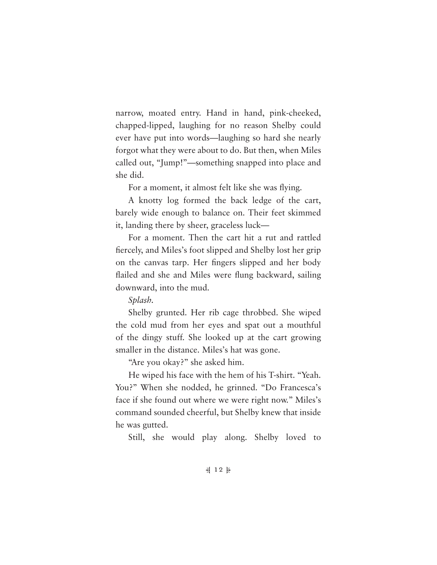narrow, moated entry. Hand in hand, pink-cheeked, chapped-lipped, laughing for no reason Shelby could ever have put into words—laughing so hard she nearly forgot what they were about to do. But then, when Miles called out, "Jump!"—something snapped into place and she did.

For a moment, it almost felt like she was flying.

A knotty log formed the back ledge of the cart, barely wide enough to balance on. Their feet skimmed it, landing there by sheer, graceless luck—

For a moment. Then the cart hit a rut and rattled fiercely, and Miles's foot slipped and Shelby lost her grip on the canvas tarp. Her fingers slipped and her body flailed and she and Miles were flung backward, sailing downward, into the mud.

*Splash.*

Shelby grunted. Her rib cage throbbed. She wiped the cold mud from her eyes and spat out a mouthful of the dingy stuff. She looked up at the cart growing smaller in the distance. Miles's hat was gone.

"Are you okay?" she asked him.

He wiped his face with the hem of his T-shirt. "Yeah. You?" When she nodded, he grinned. "Do Francesca's face if she found out where we were right now." Miles's command sounded cheerful, but Shelby knew that inside he was gutted.

Still, she would play along. Shelby loved to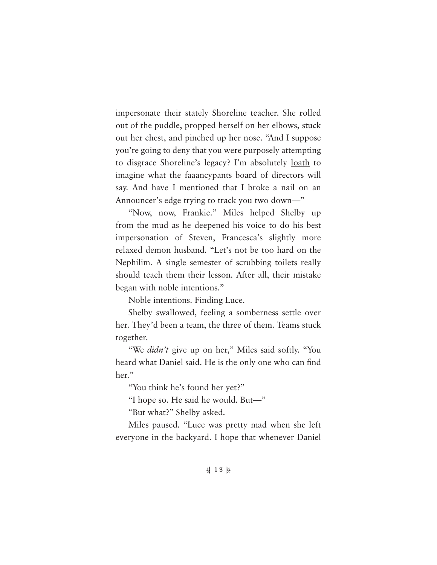impersonate their stately Shoreline teacher. She rolled out of the puddle, propped herself on her elbows, stuck out her chest, and pinched up her nose. "And I suppose you're going to deny that you were purposely attempting to disgrace Shoreline's legacy? I'm absolutely loath to imagine what the faaancypants board of directors will say. And have I mentioned that I broke a nail on an Announcer's edge trying to track you two down—"

"Now, now, Frankie." Miles helped Shelby up from the mud as he deepened his voice to do his best impersonation of Steven, Francesca's slightly more relaxed demon husband. "Let's not be too hard on the Nephilim. A single semester of scrubbing toilets really should teach them their lesson. After all, their mistake began with noble intentions."

Noble intentions. Finding Luce.

Shelby swallowed, feeling a somberness settle over her. They'd been a team, the three of them. Teams stuck together.

"We *didn't* give up on her," Miles said softly. "You heard what Daniel said. He is the only one who can find her."

"You think he's found her yet?"

"I hope so. He said he would. But—"

"But what?" Shelby asked.

Miles paused. "Luce was pretty mad when she left everyone in the backyard. I hope that whenever Daniel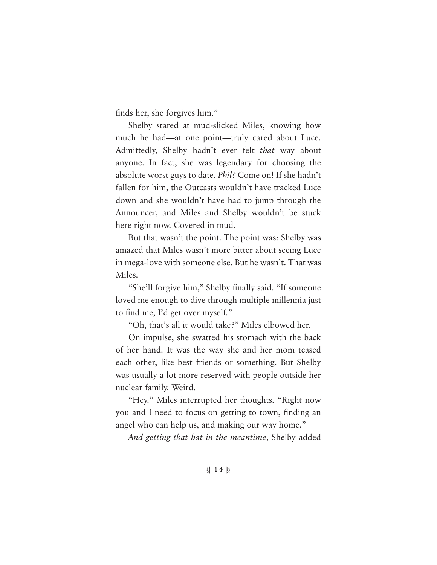finds her, she forgives him."

Shelby stared at mud-slicked Miles, knowing how much he had—at one point—truly cared about Luce. Admittedly, Shelby hadn't ever felt *that* way about anyone. In fact, she was legendary for choosing the absolute worst guys to date. *Phil?* Come on! If she hadn't fallen for him, the Outcasts wouldn't have tracked Luce down and she wouldn't have had to jump through the Announcer, and Miles and Shelby wouldn't be stuck here right now. Covered in mud.

But that wasn't the point. The point was: Shelby was amazed that Miles wasn't more bitter about seeing Luce in mega-love with someone else. But he wasn't. That was Miles.

"She'll forgive him," Shelby finally said. "If someone loved me enough to dive through multiple millennia just to find me, I'd get over myself."

"Oh, that's all it would take?" Miles elbowed her.

On impulse, she swatted his stomach with the back of her hand. It was the way she and her mom teased each other, like best friends or something. But Shelby was usually a lot more reserved with people outside her nuclear family. Weird.

"Hey." Miles interrupted her thoughts. "Right now you and I need to focus on getting to town, finding an angel who can help us, and making our way home."

*And getting that hat in the meantime*, Shelby added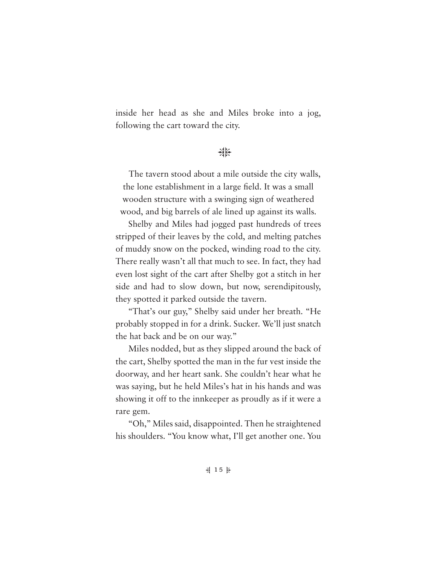inside her head as she and Miles broke into a jog, following the cart toward the city.

## 柴

The tavern stood about a mile outside the city walls, the lone establishment in a large field. It was a small wooden structure with a swinging sign of weathered wood, and big barrels of ale lined up against its walls.

Shelby and Miles had jogged past hundreds of trees stripped of their leaves by the cold, and melting patches of muddy snow on the pocked, winding road to the city. There really wasn't all that much to see. In fact, they had even lost sight of the cart after Shelby got a stitch in her side and had to slow down, but now, serendipitously, they spotted it parked outside the tavern.

"That's our guy," Shelby said under her breath. "He probably stopped in for a drink. Sucker. We'll just snatch the hat back and be on our way."

Miles nodded, but as they slipped around the back of the cart, Shelby spotted the man in the fur vest inside the doorway, and her heart sank. She couldn't hear what he was saying, but he held Miles's hat in his hands and was showing it off to the innkeeper as proudly as if it were a rare gem.

"Oh," Miles said, disappointed. Then he straightened his shoulders. "You know what, I'll get another one. You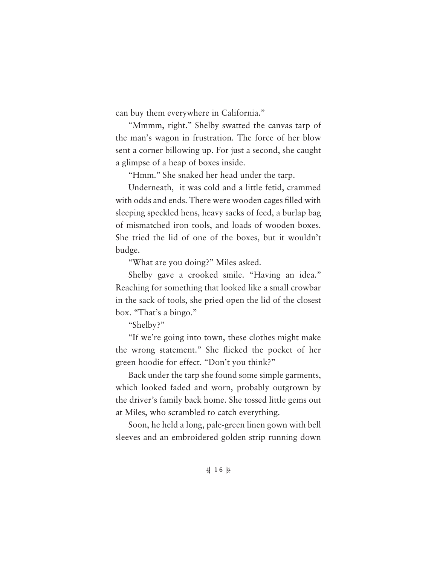can buy them everywhere in California."

"Mmmm, right." Shelby swatted the canvas tarp of the man's wagon in frustration. The force of her blow sent a corner billowing up. For just a second, she caught a glimpse of a heap of boxes inside.

"Hmm." She snaked her head under the tarp.

Underneath, it was cold and a little fetid, crammed with odds and ends. There were wooden cages filled with sleeping speckled hens, heavy sacks of feed, a burlap bag of mismatched iron tools, and loads of wooden boxes. She tried the lid of one of the boxes, but it wouldn't budge.

"What are you doing?" Miles asked.

Shelby gave a crooked smile. "Having an idea." Reaching for something that looked like a small crowbar in the sack of tools, she pried open the lid of the closest box. "That's a bingo."

"Shelby?"

"If we're going into town, these clothes might make the wrong statement." She flicked the pocket of her green hoodie for effect. "Don't you think?"

Back under the tarp she found some simple garments, which looked faded and worn, probably outgrown by the driver's family back home. She tossed little gems out at Miles, who scrambled to catch everything.

Soon, he held a long, pale-green linen gown with bell sleeves and an embroidered golden strip running down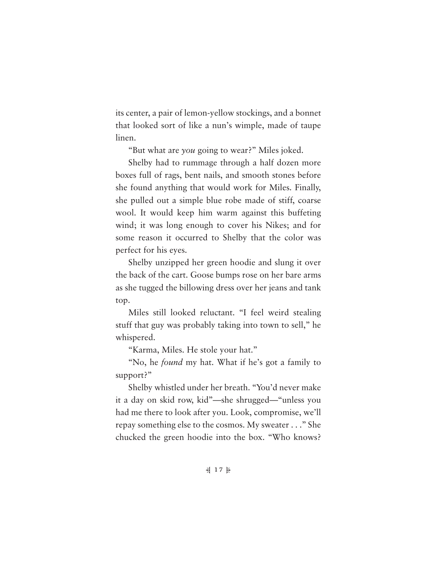its center, a pair of lemon-yellow stockings, and a bonnet that looked sort of like a nun's wimple, made of taupe linen.

"But what are *you* going to wear?" Miles joked.

Shelby had to rummage through a half dozen more boxes full of rags, bent nails, and smooth stones before she found anything that would work for Miles. Finally, she pulled out a simple blue robe made of stiff, coarse wool. It would keep him warm against this buffeting wind; it was long enough to cover his Nikes; and for some reason it occurred to Shelby that the color was perfect for his eyes.

Shelby unzipped her green hoodie and slung it over the back of the cart. Goose bumps rose on her bare arms as she tugged the billowing dress over her jeans and tank top.

Miles still looked reluctant. "I feel weird stealing stuff that guy was probably taking into town to sell," he whispered.

"Karma, Miles. He stole your hat."

"No, he *found* my hat. What if he's got a family to support?"

Shelby whistled under her breath. "You'd never make it a day on skid row, kid"—she shrugged—"unless you had me there to look after you. Look, compromise, we'll repay something else to the cosmos. My sweater . . ." She chucked the green hoodie into the box. "Who knows?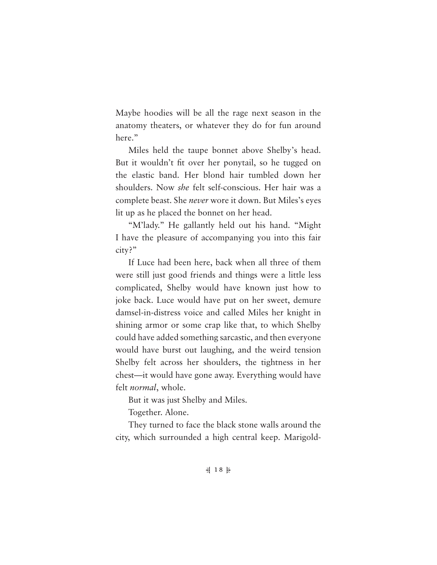Maybe hoodies will be all the rage next season in the anatomy theaters, or whatever they do for fun around here."

Miles held the taupe bonnet above Shelby's head. But it wouldn't fit over her ponytail, so he tugged on the elastic band. Her blond hair tumbled down her shoulders. Now *she* felt self-conscious. Her hair was a complete beast. She *never* wore it down. But Miles's eyes lit up as he placed the bonnet on her head.

"M'lady." He gallantly held out his hand. "Might I have the pleasure of accompanying you into this fair city?"

If Luce had been here, back when all three of them were still just good friends and things were a little less complicated, Shelby would have known just how to joke back. Luce would have put on her sweet, demure damsel-in-distress voice and called Miles her knight in shining armor or some crap like that, to which Shelby could have added something sarcastic, and then everyone would have burst out laughing, and the weird tension Shelby felt across her shoulders, the tightness in her chest—it would have gone away. Everything would have felt *normal*, whole.

But it was just Shelby and Miles.

Together. Alone.

They turned to face the black stone walls around the city, which surrounded a high central keep. Marigold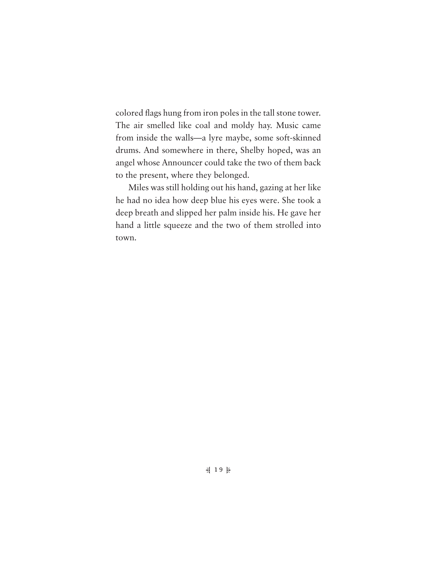colored flags hung from iron poles in the tall stone tower. The air smelled like coal and moldy hay. Music came from inside the walls—a lyre maybe, some soft-skinned drums. And somewhere in there, Shelby hoped, was an angel whose Announcer could take the two of them back to the present, where they belonged.

Miles was still holding out his hand, gazing at her like he had no idea how deep blue his eyes were. She took a deep breath and slipped her palm inside his. He gave her hand a little squeeze and the two of them strolled into town.